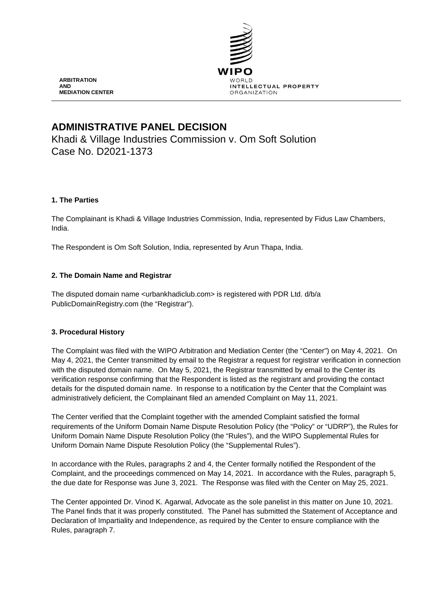

# **ADMINISTRATIVE PANEL DECISION**

Khadi & Village Industries Commission v. Om Soft Solution Case No. D2021-1373

# **1. The Parties**

The Complainant is Khadi & Village Industries Commission, India, represented by Fidus Law Chambers, India.

The Respondent is Om Soft Solution, India, represented by Arun Thapa, India.

# **2. The Domain Name and Registrar**

The disputed domain name <urbankhadiclub.com> is registered with PDR Ltd. d/b/a PublicDomainRegistry.com (the "Registrar").

# **3. Procedural History**

The Complaint was filed with the WIPO Arbitration and Mediation Center (the "Center") on May 4, 2021. On May 4, 2021, the Center transmitted by email to the Registrar a request for registrar verification in connection with the disputed domain name. On May 5, 2021, the Registrar transmitted by email to the Center its verification response confirming that the Respondent is listed as the registrant and providing the contact details for the disputed domain name. In response to a notification by the Center that the Complaint was administratively deficient, the Complainant filed an amended Complaint on May 11, 2021.

The Center verified that the Complaint together with the amended Complaint satisfied the formal requirements of the Uniform Domain Name Dispute Resolution Policy (the "Policy" or "UDRP"), the Rules for Uniform Domain Name Dispute Resolution Policy (the "Rules"), and the WIPO Supplemental Rules for Uniform Domain Name Dispute Resolution Policy (the "Supplemental Rules").

In accordance with the Rules, paragraphs 2 and 4, the Center formally notified the Respondent of the Complaint, and the proceedings commenced on May 14, 2021. In accordance with the Rules, paragraph 5, the due date for Response was June 3, 2021. The Response was filed with the Center on May 25, 2021.

The Center appointed Dr. Vinod K. Agarwal, Advocate as the sole panelist in this matter on June 10, 2021. The Panel finds that it was properly constituted. The Panel has submitted the Statement of Acceptance and Declaration of Impartiality and Independence, as required by the Center to ensure compliance with the Rules, paragraph 7.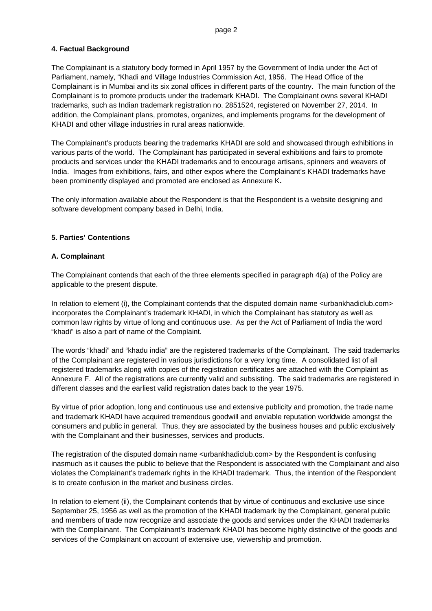# **4. Factual Background**

The Complainant is a statutory body formed in April 1957 by the Government of India under the Act of Parliament, namely, "Khadi and Village Industries Commission Act, 1956. The Head Office of the Complainant is in Mumbai and its six zonal offices in different parts of the country. The main function of the Complainant is to promote products under the trademark KHADI. The Complainant owns several KHADI trademarks, such as Indian trademark registration no. 2851524, registered on November 27, 2014. In addition, the Complainant plans, promotes, organizes, and implements programs for the development of KHADI and other village industries in rural areas nationwide.

The Complainant's products bearing the trademarks KHADI are sold and showcased through exhibitions in various parts of the world. The Complainant has participated in several exhibitions and fairs to promote products and services under the KHADI trademarks and to encourage artisans, spinners and weavers of India. Images from exhibitions, fairs, and other expos where the Complainant's KHADI trademarks have been prominently displayed and promoted are enclosed as Annexure K**.**

The only information available about the Respondent is that the Respondent is a website designing and software development company based in Delhi, India.

# **5. Parties' Contentions**

# **A. Complainant**

The Complainant contends that each of the three elements specified in paragraph 4(a) of the Policy are applicable to the present dispute.

In relation to element (i), the Complainant contends that the disputed domain name <urbankhadiclub.com> incorporates the Complainant's trademark KHADI, in which the Complainant has statutory as well as common law rights by virtue of long and continuous use. As per the Act of Parliament of India the word "khadi" is also a part of name of the Complaint.

The words "khadi" and "khadu india" are the registered trademarks of the Complainant. The said trademarks of the Complainant are registered in various jurisdictions for a very long time. A consolidated list of all registered trademarks along with copies of the registration certificates are attached with the Complaint as Annexure F. All of the registrations are currently valid and subsisting. The said trademarks are registered in different classes and the earliest valid registration dates back to the year 1975.

By virtue of prior adoption, long and continuous use and extensive publicity and promotion, the trade name and trademark KHADI have acquired tremendous goodwill and enviable reputation worldwide amongst the consumers and public in general. Thus, they are associated by the business houses and public exclusively with the Complainant and their businesses, services and products.

The registration of the disputed domain name <urbankhadiclub.com> by the Respondent is confusing inasmuch as it causes the public to believe that the Respondent is associated with the Complainant and also violates the Complainant's trademark rights in the KHADI trademark. Thus, the intention of the Respondent is to create confusion in the market and business circles.

In relation to element (ii), the Complainant contends that by virtue of continuous and exclusive use since September 25, 1956 as well as the promotion of the KHADI trademark by the Complainant, general public and members of trade now recognize and associate the goods and services under the KHADI trademarks with the Complainant. The Complainant's trademark KHADI has become highly distinctive of the goods and services of the Complainant on account of extensive use, viewership and promotion.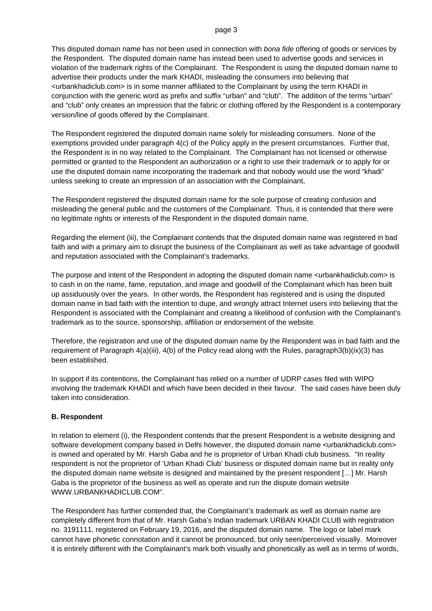#### page 3

This disputed domain name has not been used in connection with *bona fide* offering of goods or services by the Respondent. The disputed domain name has instead been used to advertise goods and services in violation of the trademark rights of the Complainant. The Respondent is using the disputed domain name to advertise their products under the mark KHADI, misleading the consumers into believing that <urbankhadiclub.com> is in some manner affiliated to the Complainant by using the term KHADI in conjunction with the generic word as prefix and suffix "urban" and "club". The addition of the terms "urban" and "club" only creates an impression that the fabric or clothing offered by the Respondent is a contemporary version/line of goods offered by the Complainant.

The Respondent registered the disputed domain name solely for misleading consumers. None of the exemptions provided under paragraph 4(c) of the Policy apply in the present circumstances. Further that, the Respondent is in no way related to the Complainant. The Complainant has not licensed or otherwise permitted or granted to the Respondent an authorization or a right to use their trademark or to apply for or use the disputed domain name incorporating the trademark and that nobody would use the word "khadi" unless seeking to create an impression of an association with the Complainant,

The Respondent registered the disputed domain name for the sole purpose of creating confusion and misleading the general public and the customers of the Complainant. Thus, it is contended that there were no legitimate rights or interests of the Respondent in the disputed domain name.

Regarding the element (iii), the Complainant contends that the disputed domain name was registered in bad faith and with a primary aim to disrupt the business of the Complainant as well as take advantage of goodwill and reputation associated with the Complainant's trademarks.

The purpose and intent of the Respondent in adopting the disputed domain name <urbankhadiclub.com> is to cash in on the name, fame, reputation, and image and goodwill of the Complainant which has been built up assiduously over the years. In other words, the Respondent has registered and is using the disputed domain name in bad faith with the intention to dupe, and wrongly attract Internet users into believing that the Respondent is associated with the Complainant and creating a likelihood of confusion with the Complainant's trademark as to the source, sponsorship, affiliation or endorsement of the website.

Therefore, the registration and use of the disputed domain name by the Respondent was in bad faith and the requirement of Paragraph 4(a)(iii), 4(b) of the Policy read along with the Rules, paragraph3(b)(ix)(3) has been established.

In support if its contentions, the Complainant has relied on a number of UDRP cases filed with WIPO involving the trademark KHADI and which have been decided in their favour. The said cases have been duly taken into consideration.

# **B. Respondent**

In relation to element (i), the Respondent contends that the present Respondent is a website designing and software development company based in Delhi however, the disputed domain name <urbankhadiclub.com> is owned and operated by Mr. Harsh Gaba and he is proprietor of Urban Khadi club business. "In reality respondent is not the proprietor of 'Urban Khadi Club' business or disputed domain name but in reality only the disputed domain name website is designed and maintained by the present respondent […] Mr. Harsh Gaba is the proprietor of the business as well as operate and run the dispute domain website [WWW.URBANKHADICLUB.COM"](http://www.urbankhadiclub.com/).

The Respondent has further contended that, the Complainant's trademark as well as domain name are completely different from that of Mr. Harsh Gaba's Indian trademark URBAN KHADI CLUB with registration no. 3191111, registered on February 19, 2016, and the disputed domain name. The logo or label mark cannot have phonetic connotation and it cannot be pronounced, but only seen/perceived visually. Moreover it is entirely different with the Complainant's mark both visually and phonetically as well as in terms of words,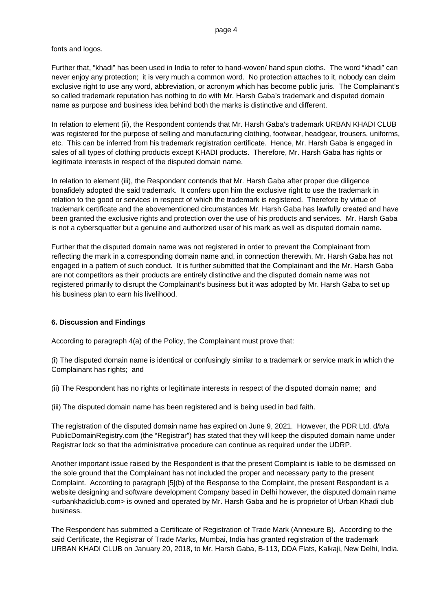fonts and logos.

Further that, "khadi" has been used in India to refer to hand-woven/ hand spun cloths. The word "khadi" can never enjoy any protection; it is very much a common word. No protection attaches to it, nobody can claim exclusive right to use any word, abbreviation, or acronym which has become public juris. The Complainant's so called trademark reputation has nothing to do with Mr. Harsh Gaba's trademark and disputed domain name as purpose and business idea behind both the marks is distinctive and different.

In relation to element (ii), the Respondent contends that Mr. Harsh Gaba's trademark URBAN KHADI CLUB was registered for the purpose of selling and manufacturing clothing, footwear, headgear, trousers, uniforms, etc. This can be inferred from his trademark registration certificate. Hence, Mr. Harsh Gaba is engaged in sales of all types of clothing products except KHADI products. Therefore, Mr. Harsh Gaba has rights or legitimate interests in respect of the disputed domain name.

In relation to element (iii), the Respondent contends that Mr. Harsh Gaba after proper due diligence bonafidely adopted the said trademark. It confers upon him the exclusive right to use the trademark in relation to the good or services in respect of which the trademark is registered. Therefore by virtue of trademark certificate and the abovementioned circumstances Mr. Harsh Gaba has lawfully created and have been granted the exclusive rights and protection over the use of his products and services. Mr. Harsh Gaba is not a cybersquatter but a genuine and authorized user of his mark as well as disputed domain name.

Further that the disputed domain name was not registered in order to prevent the Complainant from reflecting the mark in a corresponding domain name and, in connection therewith, Mr. Harsh Gaba has not engaged in a pattern of such conduct. It is further submitted that the Complainant and the Mr. Harsh Gaba are not competitors as their products are entirely distinctive and the disputed domain name was not registered primarily to disrupt the Complainant's business but it was adopted by Mr. Harsh Gaba to set up his business plan to earn his livelihood.

# **6. Discussion and Findings**

According to paragraph 4(a) of the Policy, the Complainant must prove that:

(i) The disputed domain name is identical or confusingly similar to a trademark or service mark in which the Complainant has rights; and

(ii) The Respondent has no rights or legitimate interests in respect of the disputed domain name; and

(iii) The disputed domain name has been registered and is being used in bad faith.

The registration of the disputed domain name has expired on June 9, 2021. However, the PDR Ltd. d/b/a PublicDomainRegistry.com (the "Registrar") has stated that they will keep the disputed domain name under Registrar lock so that the administrative procedure can continue as required under the UDRP.

Another important issue raised by the Respondent is that the present Complaint is liable to be dismissed on the sole ground that the Complainant has not included the proper and necessary party to the present Complaint. According to paragraph [5](b) of the Response to the Complaint, the present Respondent is a website designing and software development Company based in Delhi however, the disputed domain name <urbankhadiclub.com> is owned and operated by Mr. Harsh Gaba and he is proprietor of Urban Khadi club business.

The Respondent has submitted a Certificate of Registration of Trade Mark (Annexure B). According to the said Certificate, the Registrar of Trade Marks, Mumbai, India has granted registration of the trademark URBAN KHADI CLUB on January 20, 2018, to Mr. Harsh Gaba, B-113, DDA Flats, Kalkaji, New Delhi, India.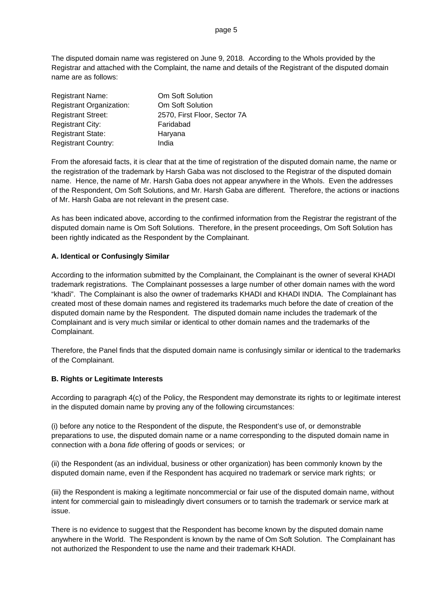The disputed domain name was registered on June 9, 2018. According to the WhoIs provided by the Registrar and attached with the Complaint, the name and details of the Registrant of the disputed domain name are as follows:

| <b>Registrant Name:</b>         | Om Soft Solution             |
|---------------------------------|------------------------------|
| <b>Registrant Organization:</b> | Om Soft Solution             |
| <b>Registrant Street:</b>       | 2570, First Floor, Sector 7A |
| <b>Registrant City:</b>         | Faridabad                    |
| <b>Registrant State:</b>        | Haryana                      |
| <b>Registrant Country:</b>      | India                        |

From the aforesaid facts, it is clear that at the time of registration of the disputed domain name, the name or the registration of the trademark by Harsh Gaba was not disclosed to the Registrar of the disputed domain name. Hence, the name of Mr. Harsh Gaba does not appear anywhere in the WhoIs. Even the addresses of the Respondent, Om Soft Solutions, and Mr. Harsh Gaba are different. Therefore, the actions or inactions of Mr. Harsh Gaba are not relevant in the present case.

As has been indicated above, according to the confirmed information from the Registrar the registrant of the disputed domain name is Om Soft Solutions. Therefore, **i**n the present proceedings, Om Soft Solution has been rightly indicated as the Respondent by the Complainant.

# **A. Identical or Confusingly Similar**

According to the information submitted by the Complainant, the Complainant is the owner of several KHADI trademark registrations. The Complainant possesses a large number of other domain names with the word "khadi". The Complainant is also the owner of trademarks KHADI and KHADI INDIA. The Complainant has created most of these domain names and registered its trademarks much before the date of creation of the disputed domain name by the Respondent. The disputed domain name includes the trademark of the Complainant and is very much similar or identical to other domain names and the trademarks of the Complainant.

Therefore, the Panel finds that the disputed domain name is confusingly similar or identical to the trademarks of the Complainant.

# **B. Rights or Legitimate Interests**

According to paragraph 4(c) of the Policy, the Respondent may demonstrate its rights to or legitimate interest in the disputed domain name by proving any of the following circumstances:

(i) before any notice to the Respondent of the dispute, the Respondent's use of, or demonstrable preparations to use, the disputed domain name or a name corresponding to the disputed domain name in connection with a *bona fide* offering of goods or services; or

(ii) the Respondent (as an individual, business or other organization) has been commonly known by the disputed domain name, even if the Respondent has acquired no trademark or service mark rights; or

(iii) the Respondent is making a legitimate noncommercial or fair use of the disputed domain name, without intent for commercial gain to misleadingly divert consumers or to tarnish the trademark or service mark at issue.

There is no evidence to suggest that the Respondent has become known by the disputed domain name anywhere in the World. The Respondent is known by the name of Om Soft Solution. The Complainant has not authorized the Respondent to use the name and their trademark KHADI.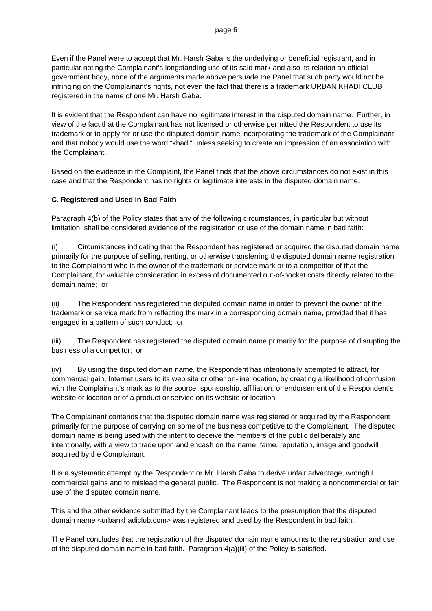Even if the Panel were to accept that Mr. Harsh Gaba is the underlying or beneficial registrant, and in particular noting the Complainant's longstanding use of its said mark and also its relation an official government body, none of the arguments made above persuade the Panel that such party would not be infringing on the Complainant's rights, not even the fact that there is a trademark URBAN KHADI CLUB registered in the name of one Mr. Harsh Gaba.

It is evident that the Respondent can have no legitimate interest in the disputed domain name. Further, in view of the fact that the Complainant has not licensed or otherwise permitted the Respondent to use its trademark or to apply for or use the disputed domain name incorporating the trademark of the Complainant and that nobody would use the word "khadi" unless seeking to create an impression of an association with the Complainant.

Based on the evidence in the Complaint, the Panel finds that the above circumstances do not exist in this case and that the Respondent has no rights or legitimate interests in the disputed domain name.

# **C. Registered and Used in Bad Faith**

Paragraph 4(b) of the Policy states that any of the following circumstances, in particular but without limitation, shall be considered evidence of the registration or use of the domain name in bad faith:

(i) Circumstances indicating that the Respondent has registered or acquired the disputed domain name primarily for the purpose of selling, renting, or otherwise transferring the disputed domain name registration to the Complainant who is the owner of the trademark or service mark or to a competitor of that the Complainant, for valuable consideration in excess of documented out-of-pocket costs directly related to the domain name; or

(ii) The Respondent has registered the disputed domain name in order to prevent the owner of the trademark or service mark from reflecting the mark in a corresponding domain name, provided that it has engaged in a pattern of such conduct; or

(iii) The Respondent has registered the disputed domain name primarily for the purpose of disrupting the business of a competitor; or

(iv) By using the disputed domain name, the Respondent has intentionally attempted to attract, for commercial gain, Internet users to its web site or other on-line location, by creating a likelihood of confusion with the Complainant's mark as to the source, sponsorship, affiliation, or endorsement of the Respondent's website or location or of a product or service on its website or location.

The Complainant contends that the disputed domain name was registered or acquired by the Respondent primarily for the purpose of carrying on some of the business competitive to the Complainant. The disputed domain name is being used with the intent to deceive the members of the public deliberately and intentionally, with a view to trade upon and encash on the name, fame, reputation, image and goodwill acquired by the Complainant.

It is a systematic attempt by the Respondent or Mr. Harsh Gaba to derive unfair advantage, wrongful commercial gains and to mislead the general public. The Respondent is not making a noncommercial or fair use of the disputed domain name.

This and the other evidence submitted by the Complainant leads to the presumption that the disputed domain name <urbankhadiclub.com> was registered and used by the Respondent in bad faith.

The Panel concludes that the registration of the disputed domain name amounts to the registration and use of the disputed domain name in bad faith. Paragraph 4(a)(iii) of the Policy is satisfied.